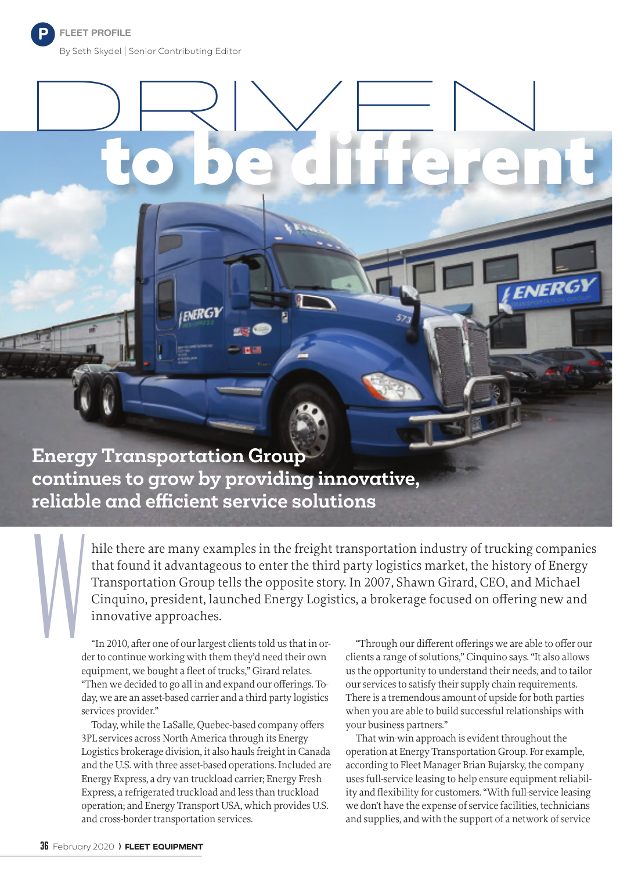P

## $D$ RIV $\overline{\phantom{a}}$ N

**Energy Transportation Group continues to grow by providing innovative, reliable and effi cient service solutions**

**FMERGY** 

hile there are many examples in the freight transportation industry of trucking companies that found it advantageous to enter the third party logistics market, the history of Energy Transportation Group tells the opposite story. In 2007, Shawn Girard, CEO, and Michael Cinquino, president, launched Energy Logistics, a brokerage focused on offering new and innovative approaches.

W<sub></sub> "In 2010, after one of our largest clients told us that in order to continue working with them they'd need their own equipment, we bought a fleet of trucks," Girard relates. "Then we decided to go all in and expand our offerings. Today, we are an asset-based carrier and a third party logistics services provider."

> Today, while the LaSalle, Quebec-based company offers 3PL services across North America through its Energy Logistics brokerage division, it also hauls freight in Canada and the U.S. with three asset-based operations. Included are Energy Express, a dry van truckload carrier; Energy Fresh Express, a refrigerated truckload and less than truckload operation; and Energy Transport USA, which provides U.S. and cross-border transportation services.

"Through our different offerings we are able to offer our clients a range of solutions," Cinquino says. "It also allows us the opportunity to understand their needs, and to tailor our services to satisfy their supply chain requirements. There is a tremendous amount of upside for both parties when you are able to build successful relationships with your business partners."

ENERGY

That win-win approach is evident throughout the operation at Energy Transportation Group. For example, according to Fleet Manager Brian Bujarsky, the company uses full-service leasing to help ensure equipment reliability and flexibility for customers. "With full-service leasing we don't have the expense of service facilities, technicians and supplies, and with the support of a network of service